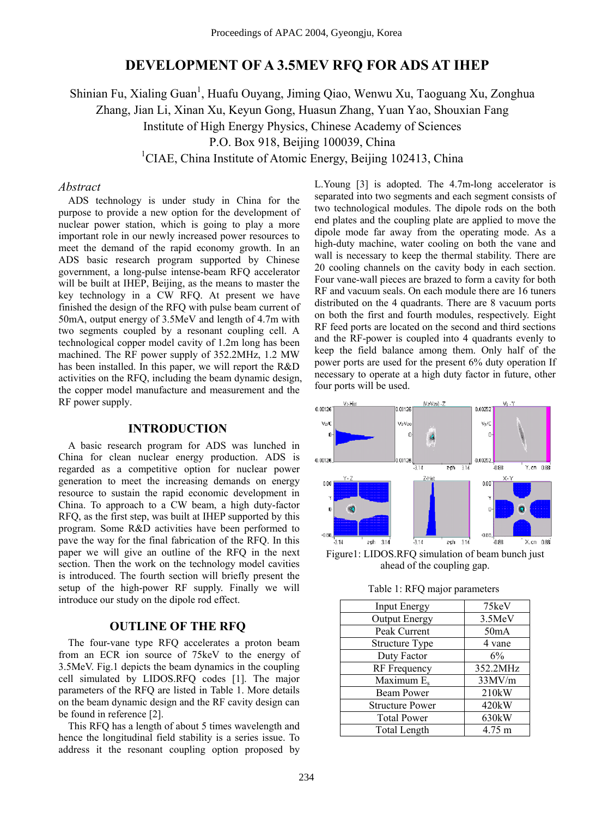# **DEVELOPMENT OF A 3.5MEV RFQ FOR ADS AT IHEP**

Shinian Fu, Xialing Guan<sup>1</sup>, Huafu Ouyang, Jiming Qiao, Wenwu Xu, Taoguang Xu, Zonghua Zhang, Jian Li, Xinan Xu, Keyun Gong, Huasun Zhang, Yuan Yao, Shouxian Fang Institute of High Energy Physics, Chinese Academy of Sciences P.O. Box 918, Beijing 100039, China <sup>1</sup>CIAE, China Institute of Atomic Energy, Beijing 102413, China

### *Abstract*

ADS technology is under study in China for the purpose to provide a new option for the development of nuclear power station, which is going to play a more important role in our newly increased power resources to meet the demand of the rapid economy growth. In an ADS basic research program supported by Chinese government, a long-pulse intense-beam RFQ accelerator will be built at IHEP, Beijing, as the means to master the key technology in a CW RFQ. At present we have finished the design of the RFQ with pulse beam current of 50mA, output energy of 3.5MeV and length of 4.7m with two segments coupled by a resonant coupling cell. A technological copper model cavity of 1.2m long has been machined. The RF power supply of 352.2MHz, 1.2 MW has been installed. In this paper, we will report the R&D activities on the RFQ, including the beam dynamic design, the copper model manufacture and measurement and the RF power supply.

# **INTRODUCTION**

A basic research program for ADS was lunched in China for clean nuclear energy production. ADS is regarded as a competitive option for nuclear power generation to meet the increasing demands on energy resource to sustain the rapid economic development in China. To approach to a CW beam, a high duty-factor RFQ, as the first step, was built at IHEP supported by this program. Some R&D activities have been performed to pave the way for the final fabrication of the RFQ. In this paper we will give an outline of the RFQ in the next section. Then the work on the technology model cavities is introduced. The fourth section will briefly present the setup of the high-power RF supply. Finally we will introduce our study on the dipole rod effect.

#### **OUTLINE OF THE RFQ**

The four-vane type RFQ accelerates a proton beam from an ECR ion source of 75keV to the energy of 3.5MeV. Fig.1 depicts the beam dynamics in the coupling cell simulated by LIDOS.RFQ codes [1]. The major parameters of the RFQ are listed in Table 1. More details on the beam dynamic design and the RF cavity design can be found in reference [2].

This RFQ has a length of about 5 times wavelength and hence the longitudinal field stability is a series issue. To address it the resonant coupling option proposed by

L.Young [3] is adopted. The 4.7m-long accelerator is separated into two segments and each segment consists of two technological modules. The dipole rods on the both end plates and the coupling plate are applied to move the dipole mode far away from the operating mode. As a high-duty machine, water cooling on both the vane and wall is necessary to keep the thermal stability. There are 20 cooling channels on the cavity body in each section. Four vane-wall pieces are brazed to form a cavity for both RF and vacuum seals. On each module there are 16 tuners distributed on the 4 quadrants. There are 8 vacuum ports on both the first and fourth modules, respectively. Eight RF feed ports are located on the second and third sections and the RF-power is coupled into 4 quadrants evenly to keep the field balance among them. Only half of the power ports are used for the present 6% duty operation If necessary to operate at a high duty factor in future, other four ports will be used.



Figure1: LIDOS.RFQ simulation of beam bunch just ahead of the coupling gap.

Table 1: RFQ major parameters

| <b>Input Energy</b>    | 75keV    |
|------------------------|----------|
| <b>Output Energy</b>   | 3.5MeV   |
| Peak Current           | 50mA     |
| <b>Structure Type</b>  | 4 vane   |
| Duty Factor            | 6%       |
| <b>RF</b> Frequency    | 352.2MHz |
| Maximum E <sub>s</sub> | 33MV/m   |
| <b>Beam Power</b>      | 210kW    |
| <b>Structure Power</b> | 420kW    |
| <b>Total Power</b>     | 630kW    |
| Total Length           | 4.75 m   |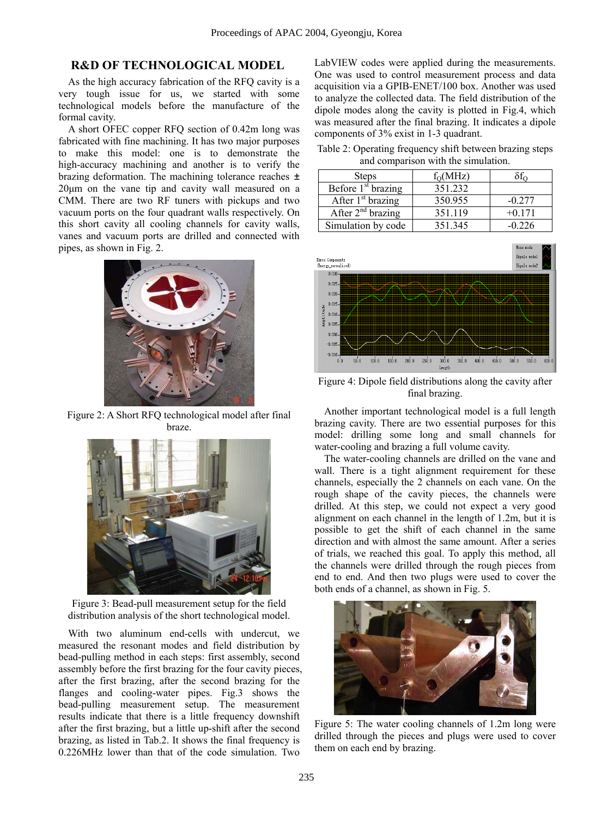# **R&D OF TECHNOLOGICAL MODEL**

As the high accuracy fabrication of the RFQ cavity is a very tough issue for us, we started with some technological models before the manufacture of the formal cavity.

A short OFEC copper RFQ section of 0.42m long was fabricated with fine machining. It has two major purposes to make this model: one is to demonstrate the high-accuracy machining and another is to verify the brazing deformation. The machining tolerance reaches ± 20µm on the vane tip and cavity wall measured on a CMM. There are two RF tuners with pickups and two vacuum ports on the four quadrant walls respectively. On this short cavity all cooling channels for cavity walls, vanes and vacuum ports are drilled and connected with pipes, as shown in Fig. 2.



Figure 2: A Short RFQ technological model after final braze.



Figure 3: Bead-pull measurement setup for the field distribution analysis of the short technological model.

With two aluminum end-cells with undercut, we measured the resonant modes and field distribution by bead-pulling method in each steps: first assembly, second assembly before the first brazing for the four cavity pieces, after the first brazing, after the second brazing for the flanges and cooling-water pipes. Fig.3 shows the bead-pulling measurement setup. The measurement results indicate that there is a little frequency downshift after the first brazing, but a little up-shift after the second brazing, as listed in Tab.2. It shows the final frequency is 0.226MHz lower than that of the code simulation. Two

LabVIEW codes were applied during the measurements. One was used to control measurement process and data acquisition via a GPIB-ENET/100 box. Another was used to analyze the collected data. The field distribution of the dipole modes along the cavity is plotted in Fig.4, which was measured after the final brazing. It indicates a dipole components of 3% exist in 1-3 quadrant.

Table 2: Operating frequency shift between brazing steps and comparison with the simulation.

| <b>Steps</b>         | $f_{O}(MHz)$ |          |
|----------------------|--------------|----------|
| Before $1st$ brazing | 351.232      |          |
| After $1st$ brazing  | 350.955      | $-0.277$ |
| After $2nd$ brazing  | 351.119      | $+0.171$ |
| Simulation by code   | 351.345      | -0 226   |



Figure 4: Dipole field distributions along the cavity after final brazing.

Another important technological model is a full length brazing cavity. There are two essential purposes for this model: drilling some long and small channels for water-cooling and brazing a full volume cavity.

The water-cooling channels are drilled on the vane and wall. There is a tight alignment requirement for these channels, especially the 2 channels on each vane. On the rough shape of the cavity pieces, the channels were drilled. At this step, we could not expect a very good alignment on each channel in the length of 1.2m, but it is possible to get the shift of each channel in the same direction and with almost the same amount. After a series of trials, we reached this goal. To apply this method, all the channels were drilled through the rough pieces from end to end. And then two plugs were used to cover the both ends of a channel, as shown in Fig. 5.



Figure 5: The water cooling channels of 1.2m long were drilled through the pieces and plugs were used to cover them on each end by brazing.